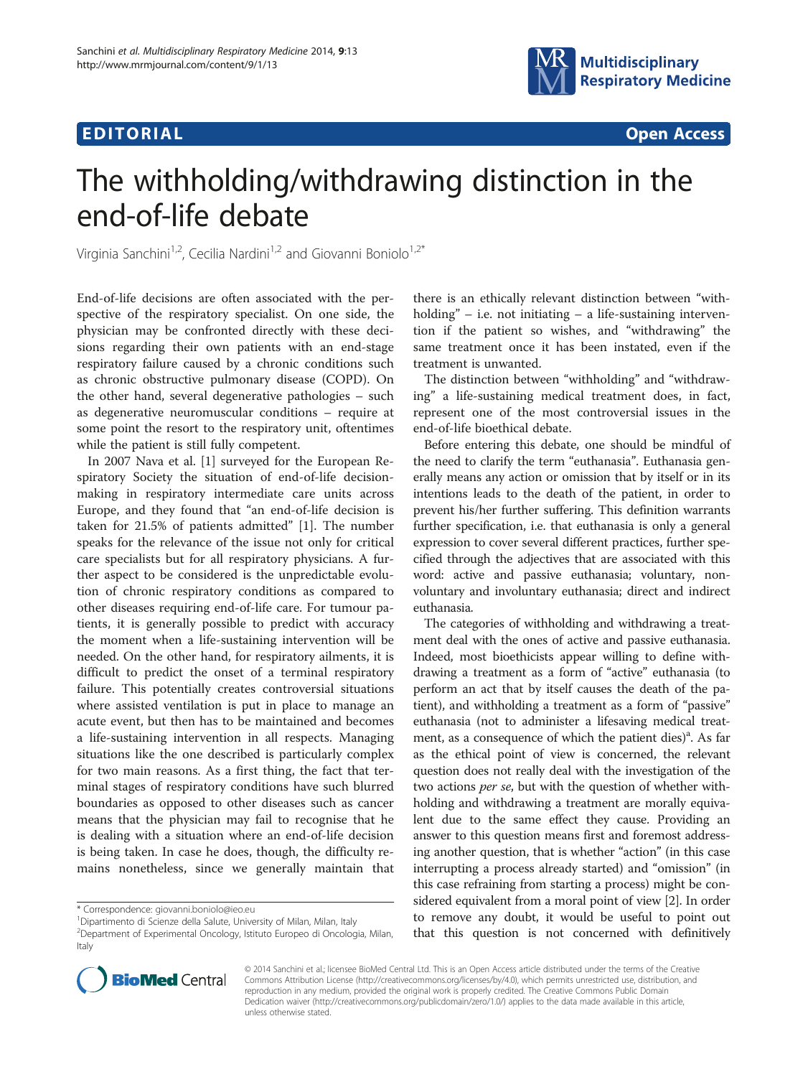# **EDITORIAL** CONSTRUCTION CONTINUES AND CONSTRUCT OF THE CONSTRUCTION OPEN ACCESS



# The withholding/withdrawing distinction in the end-of-life debate

Virginia Sanchini<sup>1,2</sup>, Cecilia Nardini<sup>1,2</sup> and Giovanni Boniolo<sup>1,2\*</sup>

End-of-life decisions are often associated with the perspective of the respiratory specialist. On one side, the physician may be confronted directly with these decisions regarding their own patients with an end-stage respiratory failure caused by a chronic conditions such as chronic obstructive pulmonary disease (COPD). On the other hand, several degenerative pathologies – such as degenerative neuromuscular conditions – require at some point the resort to the respiratory unit, oftentimes while the patient is still fully competent.

In 2007 Nava et al. [\[1](#page-2-0)] surveyed for the European Respiratory Society the situation of end-of-life decisionmaking in respiratory intermediate care units across Europe, and they found that "an end-of-life decision is taken for 21.5% of patients admitted" [\[1](#page-2-0)]. The number speaks for the relevance of the issue not only for critical care specialists but for all respiratory physicians. A further aspect to be considered is the unpredictable evolution of chronic respiratory conditions as compared to other diseases requiring end-of-life care. For tumour patients, it is generally possible to predict with accuracy the moment when a life-sustaining intervention will be needed. On the other hand, for respiratory ailments, it is difficult to predict the onset of a terminal respiratory failure. This potentially creates controversial situations where assisted ventilation is put in place to manage an acute event, but then has to be maintained and becomes a life-sustaining intervention in all respects. Managing situations like the one described is particularly complex for two main reasons. As a first thing, the fact that terminal stages of respiratory conditions have such blurred boundaries as opposed to other diseases such as cancer means that the physician may fail to recognise that he is dealing with a situation where an end-of-life decision is being taken. In case he does, though, the difficulty remains nonetheless, since we generally maintain that

there is an ethically relevant distinction between "withholding" – i.e. not initiating – a life-sustaining intervention if the patient so wishes, and "withdrawing" the same treatment once it has been instated, even if the treatment is unwanted.

The distinction between "withholding" and "withdrawing" a life-sustaining medical treatment does, in fact, represent one of the most controversial issues in the end-of-life bioethical debate.

Before entering this debate, one should be mindful of the need to clarify the term "euthanasia". Euthanasia generally means any action or omission that by itself or in its intentions leads to the death of the patient, in order to prevent his/her further suffering. This definition warrants further specification, i.e. that euthanasia is only a general expression to cover several different practices, further specified through the adjectives that are associated with this word: active and passive euthanasia; voluntary, nonvoluntary and involuntary euthanasia; direct and indirect euthanasia.

The categories of withholding and withdrawing a treatment deal with the ones of active and passive euthanasia. Indeed, most bioethicists appear willing to define withdrawing a treatment as a form of "active" euthanasia (to perform an act that by itself causes the death of the patient), and withholding a treatment as a form of "passive" euthanasia (not to administer a lifesaving medical treatment, as a consequence of which the patient dies)<sup>a</sup>. As far as the ethical point of view is concerned, the relevant question does not really deal with the investigation of the two actions per se, but with the question of whether withholding and withdrawing a treatment are morally equivalent due to the same effect they cause. Providing an answer to this question means first and foremost addressing another question, that is whether "action" (in this case interrupting a process already started) and "omission" (in this case refraining from starting a process) might be considered equivalent from a moral point of view [\[2\]](#page-2-0). In order to remove any doubt, it would be useful to point out that this question is not concerned with definitively



© 2014 Sanchini et al.; licensee BioMed Central Ltd. This is an Open Access article distributed under the terms of the Creative Commons Attribution License [\(http://creativecommons.org/licenses/by/4.0\)](http://creativecommons.org/licenses/by/4.0), which permits unrestricted use, distribution, and reproduction in any medium, provided the original work is properly credited. The Creative Commons Public Domain Dedication waiver [\(http://creativecommons.org/publicdomain/zero/1.0/](http://creativecommons.org/publicdomain/zero/1.0/)) applies to the data made available in this article, unless otherwise stated.

<sup>\*</sup> Correspondence: [giovanni.boniolo@ieo.eu](mailto:giovanni.boniolo@ieo.eu) <sup>1</sup>

<sup>&</sup>lt;sup>1</sup> Dipartimento di Scienze della Salute, University of Milan, Milan, Italy

<sup>2</sup> Department of Experimental Oncology, Istituto Europeo di Oncologia, Milan, Italy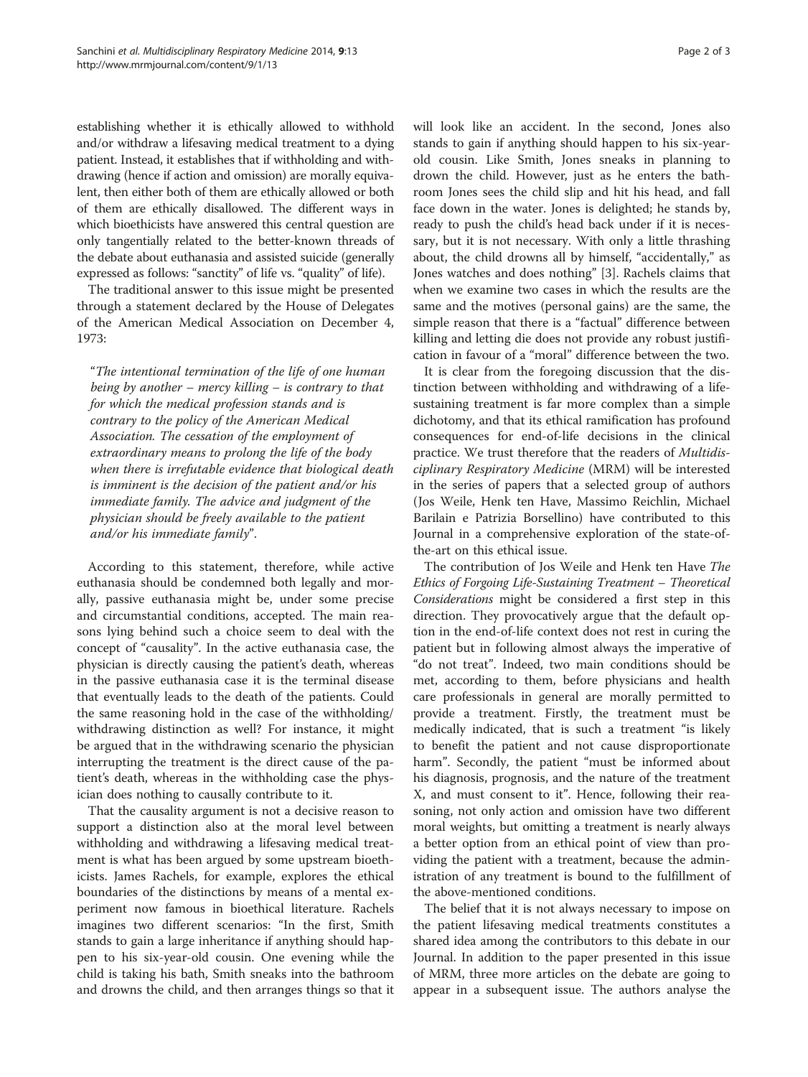establishing whether it is ethically allowed to withhold and/or withdraw a lifesaving medical treatment to a dying patient. Instead, it establishes that if withholding and withdrawing (hence if action and omission) are morally equivalent, then either both of them are ethically allowed or both of them are ethically disallowed. The different ways in which bioethicists have answered this central question are only tangentially related to the better-known threads of the debate about euthanasia and assisted suicide (generally expressed as follows: "sanctity" of life vs. "quality" of life).

The traditional answer to this issue might be presented through a statement declared by the House of Delegates of the American Medical Association on December 4, 1973:

"The intentional termination of the life of one human being by another – mercy killing – is contrary to that for which the medical profession stands and is contrary to the policy of the American Medical Association. The cessation of the employment of extraordinary means to prolong the life of the body when there is irrefutable evidence that biological death is imminent is the decision of the patient and/or his immediate family. The advice and judgment of the physician should be freely available to the patient and/or his immediate family".

According to this statement, therefore, while active euthanasia should be condemned both legally and morally, passive euthanasia might be, under some precise and circumstantial conditions, accepted. The main reasons lying behind such a choice seem to deal with the concept of "causality". In the active euthanasia case, the physician is directly causing the patient's death, whereas in the passive euthanasia case it is the terminal disease that eventually leads to the death of the patients. Could the same reasoning hold in the case of the withholding/ withdrawing distinction as well? For instance, it might be argued that in the withdrawing scenario the physician interrupting the treatment is the direct cause of the patient's death, whereas in the withholding case the physician does nothing to causally contribute to it.

That the causality argument is not a decisive reason to support a distinction also at the moral level between withholding and withdrawing a lifesaving medical treatment is what has been argued by some upstream bioethicists. James Rachels, for example, explores the ethical boundaries of the distinctions by means of a mental experiment now famous in bioethical literature. Rachels imagines two different scenarios: "In the first, Smith stands to gain a large inheritance if anything should happen to his six-year-old cousin. One evening while the child is taking his bath, Smith sneaks into the bathroom and drowns the child, and then arranges things so that it will look like an accident. In the second, Jones also stands to gain if anything should happen to his six-yearold cousin. Like Smith, Jones sneaks in planning to drown the child. However, just as he enters the bathroom Jones sees the child slip and hit his head, and fall face down in the water. Jones is delighted; he stands by, ready to push the child's head back under if it is necessary, but it is not necessary. With only a little thrashing about, the child drowns all by himself, "accidentally," as Jones watches and does nothing" [\[3](#page-2-0)]. Rachels claims that when we examine two cases in which the results are the same and the motives (personal gains) are the same, the simple reason that there is a "factual" difference between killing and letting die does not provide any robust justification in favour of a "moral" difference between the two.

It is clear from the foregoing discussion that the distinction between withholding and withdrawing of a lifesustaining treatment is far more complex than a simple dichotomy, and that its ethical ramification has profound consequences for end-of-life decisions in the clinical practice. We trust therefore that the readers of Multidisciplinary Respiratory Medicine (MRM) will be interested in the series of papers that a selected group of authors (Jos Weile, Henk ten Have, Massimo Reichlin, Michael Barilain e Patrizia Borsellino) have contributed to this Journal in a comprehensive exploration of the state-ofthe-art on this ethical issue.

The contribution of Jos Weile and Henk ten Have The Ethics of Forgoing Life-Sustaining Treatment – Theoretical Considerations might be considered a first step in this direction. They provocatively argue that the default option in the end-of-life context does not rest in curing the patient but in following almost always the imperative of "do not treat". Indeed, two main conditions should be met, according to them, before physicians and health care professionals in general are morally permitted to provide a treatment. Firstly, the treatment must be medically indicated, that is such a treatment "is likely to benefit the patient and not cause disproportionate harm". Secondly, the patient "must be informed about his diagnosis, prognosis, and the nature of the treatment X, and must consent to it". Hence, following their reasoning, not only action and omission have two different moral weights, but omitting a treatment is nearly always a better option from an ethical point of view than providing the patient with a treatment, because the administration of any treatment is bound to the fulfillment of the above-mentioned conditions.

The belief that it is not always necessary to impose on the patient lifesaving medical treatments constitutes a shared idea among the contributors to this debate in our Journal. In addition to the paper presented in this issue of MRM, three more articles on the debate are going to appear in a subsequent issue. The authors analyse the